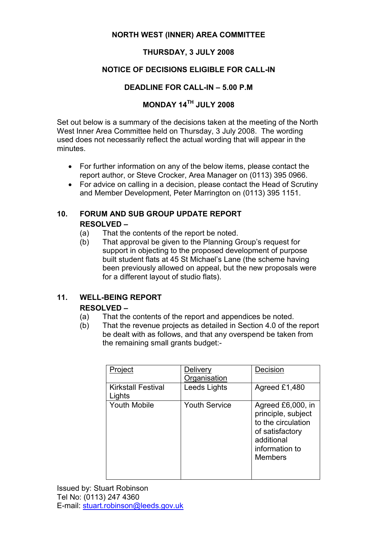#### NORTH WEST (INNER) AREA COMMITTEE

### THURSDAY, 3 JULY 2008

### NOTICE OF DECISIONS ELIGIBLE FOR CALL-IN

## DEADLINE FOR CALL-IN – 5.00 P.M

## MONDAY 14TH JULY 2008

Set out below is a summary of the decisions taken at the meeting of the North West Inner Area Committee held on Thursday, 3 July 2008. The wording used does not necessarily reflect the actual wording that will appear in the minutes.

- For further information on any of the below items, please contact the report author, or Steve Crocker, Area Manager on (0113) 395 0966.
- For advice on calling in a decision, please contact the Head of Scrutiny and Member Development, Peter Marrington on (0113) 395 1151.

## 10. FORUM AND SUB GROUP UPDATE REPORT RESOLVED –

- (a) That the contents of the report be noted.
- (b) That approval be given to the Planning Group's request for support in objecting to the proposed development of purpose built student flats at 45 St Michael's Lane (the scheme having been previously allowed on appeal, but the new proposals were for a different layout of studio flats).

## 11. WELL-BEING REPORT

#### RESOLVED –

- (a) That the contents of the report and appendices be noted.
- (b) That the revenue projects as detailed in Section 4.0 of the report be dealt with as follows, and that any overspend be taken from the remaining small grants budget:-

| Project                             | Delivery<br>Organisation | Decision                                                                                                                           |
|-------------------------------------|--------------------------|------------------------------------------------------------------------------------------------------------------------------------|
| <b>Kirkstall Festival</b><br>Lights | Leeds Lights             | Agreed £1,480                                                                                                                      |
| <b>Youth Mobile</b>                 | <b>Youth Service</b>     | Agreed £6,000, in<br>principle, subject<br>to the circulation<br>of satisfactory<br>additional<br>information to<br><b>Members</b> |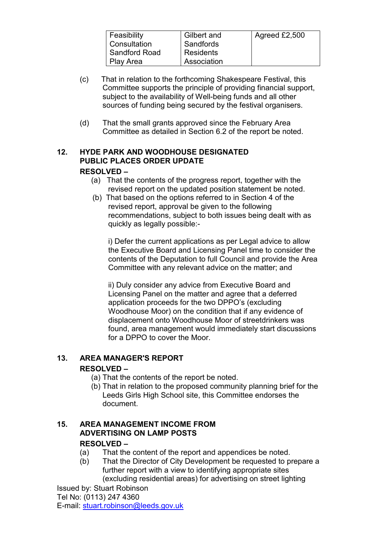| Feasibility   | Gilbert and | Agreed £2,500 |
|---------------|-------------|---------------|
| Consultation  | Sandfords   |               |
| Sandford Road | Residents   |               |
| Play Area     | Association |               |

- (c) That in relation to the forthcoming Shakespeare Festival, this Committee supports the principle of providing financial support, subject to the availability of Well-being funds and all other sources of funding being secured by the festival organisers.
- (d) That the small grants approved since the February Area Committee as detailed in Section 6.2 of the report be noted.

#### 12. HYDE PARK AND WOODHOUSE DESIGNATED PUBLIC PLACES ORDER UPDATE RESOLVED –

- (a) That the contents of the progress report, together with the revised report on the updated position statement be noted.
- (b) That based on the options referred to in Section 4 of the revised report, approval be given to the following recommendations, subject to both issues being dealt with as quickly as legally possible:-

i) Defer the current applications as per Legal advice to allow the Executive Board and Licensing Panel time to consider the contents of the Deputation to full Council and provide the Area Committee with any relevant advice on the matter; and

 ii) Duly consider any advice from Executive Board and Licensing Panel on the matter and agree that a deferred application proceeds for the two DPPO's (excluding Woodhouse Moor) on the condition that if any evidence of displacement onto Woodhouse Moor of streetdrinkers was found, area management would immediately start discussions for a DPPO to cover the Moor.

## 13. AREA MANAGER'S REPORT

## RESOLVED –

- (a) That the contents of the report be noted.
- (b) That in relation to the proposed community planning brief for the Leeds Girls High School site, this Committee endorses the document.

# 15. AREA MANAGEMENT INCOME FROM ADVERTISING ON LAMP POSTS

## RESOLVED –

- (a) That the content of the report and appendices be noted.
- (b) That the Director of City Development be requested to prepare a further report with a view to identifying appropriate sites (excluding residential areas) for advertising on street lighting

Issued by: Stuart Robinson Tel No: (0113) 247 4360 E-mail: stuart.robinson@leeds.gov.uk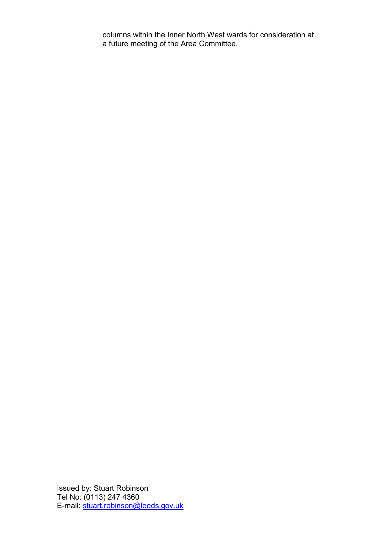columns within the Inner North West wards for consideration at a future meeting of the Area Committee.